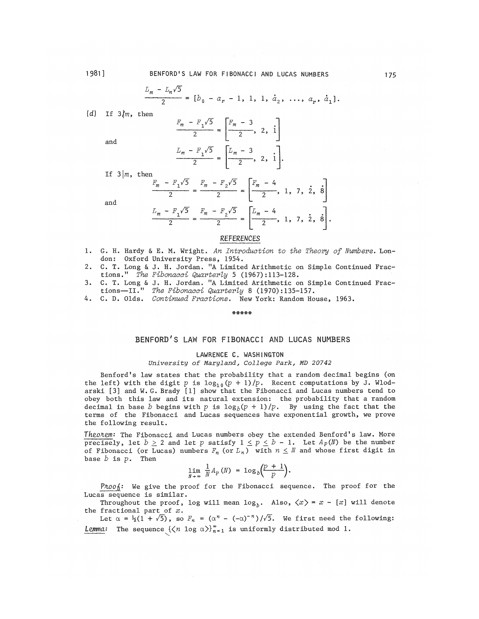$$
\frac{L_m - L_n\sqrt{5}}{2} = [b_0 - a_r - 1, 1, 1, \dot{a}_2, \dots, a_r, \dot{a}_1].
$$

*(d)* If 3|m, then

and

and

$$
\frac{F_m - F_1\sqrt{5}}{2} = \left[\frac{F_m - 3}{2}, 2, i\right]
$$
  

$$
\frac{L_m - F_1\sqrt{5}}{2} = \left[\frac{L_m - 3}{2}, 2, i\right].
$$

If  $3 \mid m$ , then

$$
\frac{F_m - F_1\sqrt{5}}{2} = \frac{F_m - F_2\sqrt{5}}{2} = \left[\frac{F_m - 4}{2}, 1, 7, 2, 8\right]
$$

$$
\frac{L_m - F_1\sqrt{5}}{2} = \frac{F_m - F_2\sqrt{5}}{2} = \left[\frac{L_m - 4}{2}, 1, 7, 2, 8\right].
$$

# *REFERENCES*

- 1. G, H, Hardy & E. M. Wright\* *An Introduction to the Theory of Numbers.* London: Oxford University Press, 1954,
- 2. C. T. Long & J. H. Jordan. "A Limited Arithmetic on Simple Continued Fractions/<sup>1</sup> *The Fibonacci Quarterly 5* (1967) :113-128.
- 3. C. T. Long & J. H. Jordan, ff A Limited Arithmetic on Simple Continued **Fractions—**II." *The Fibonacci Quarterly* 8 (1970):135-157,
- 4. Ce Da Olds, *Continued Fractions.* New York: Random **House,** 1963.

\*\*\*\*\*

# BENFORD'S LAW FOR FIBONACCI AND LUCAS NUMBERS

## LAWRENCE C. WASHINGTON

*University of Maryland, College Park, MD 20742* 

Benford's law states that the probability that a random decimal begins (on the left) with the digit p is  $\log_{10}(p + 1)/p$ . Recent computations by J. Wlodarski [3] and W. G. Brady [1] show that the Fibonacci and Lucas numbers tend to obey both this law and its natural extension: the probability that a random decimal in base *b* begins with p is  $\log_b(p + 1)/p$ . By using the fact that the terms of the Fibonacci and Lucas sequences have exponential growth, we prove the following result.

*TkzoKem:* The Fibonacci and Lucas numbers obey the extended Benford's law. More precisely, let  $b \ge 2$  and let p satisfy  $1 \le p \le b - 1$ . Let  $A_p(N)$  be the number of Fibonacci (or Lucas) numbers  $F_n$  (or  $L_n$ ) with  $n \leq N$  and whose first digit in base *b* is p. Then

$$
\lim_{N\to\infty}\frac{1}{N}A_p(N) = \log_b\left(\frac{p+1}{p}\right).
$$

Proo<sub>d</sub>: We give the proof for the Fibonacci sequence. The proof for the Lucas sequence is similar.

Throughout the proof, log will mean  $log_b$ . Also,  $\langle x \rangle = x - [x]$  will denote the fractional part of  $x$ .

Let  $\alpha = \frac{1}{2}(1 + \sqrt{5})$ , so  $F_n = (\alpha^n - (-\alpha)^{-n})/\sqrt{5}$ . We first need the following: *Lemma*: The sequence  $\{\langle n \log \alpha \rangle\}_{n=1}^{\infty}$  is uniformly distributed mod 1.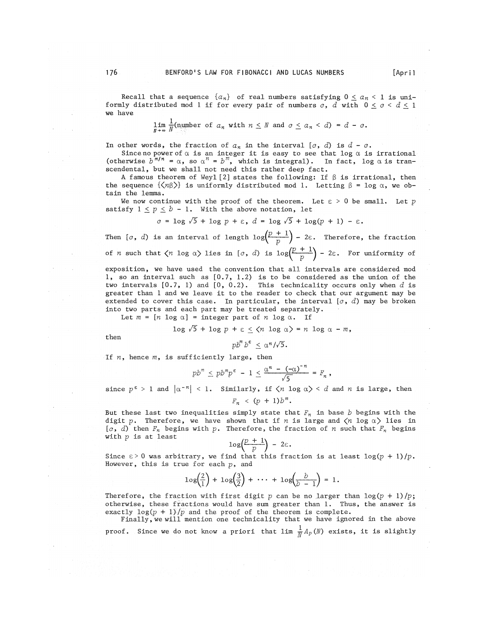Recall that a sequence  $\{a_n\}$  of real numbers satisfying  $0 \le a_n < 1$  is uniformly distributed mod 1 if for every pair of numbers  $c, d$  with  $0 \leq c \leq d \leq 1$ we have

$$
\lim_{N \to \infty} \frac{1}{N} (\text{number of } a_n \text{ with } n \leq N \text{ and } c \leq a_n < d) = d - c.
$$

In other words, the fraction of  $a_n$  in the interval  $[c, d)$  is  $d - c$ .

Since no power of  $\alpha$  is an integer it is easy to see that  $\log\,\alpha$  is irrational (otherwise  $b^{m/n} = \alpha$ , so  $\alpha^n = b^m$ , which is integral). In fact, log  $\alpha$  is transcendental, but we shall not need this rather deep fact.

A famous theorem of Weyl  $[2]$  states the following: If  $\beta$  is irrational, then the sequence  $\{\langle n\beta \rangle\}$  is uniformly distributed mod 1. Letting  $\beta = \log \alpha$ , we obtain the lemma.

We now continue with the proof of the theorem. Let  $\varepsilon > 0$  be small. Let p satisfy  $1 \leq p \leq b - 1$ . With the above notation, let

$$
c = \log \sqrt{5} + \log p + \varepsilon, d = \log \sqrt{5} + \log (p + 1) - \varepsilon.
$$

Then  $[\,c, d)$  is an interval of length  $\log\left(\frac{p+1}{p}\right) - 2\varepsilon$ . Therefore, the fraction of *n* such that  $\langle n \log \alpha \rangle$  lies in  $\lbrack c, d \rbrack$  is  $\log \left(\frac{p+1}{p}\right) - 2\varepsilon$ . For uniformity of

exposition, we have used the convention that all intervals are considered mod 1, so an interval such as [0.7, 1.2) is to be considered as the union of the two intervals [0.7, 1) and [0, 0.2). This technicality occurs only when *d* is greater than 1 and we leave it to the reader to check that our argument may be extended to cover this case. In particular, the interval *[c*, *d)* may be broken into two parts and each part may be treated separately.

Let  $m = [n \text{ log } \alpha] = \text{integer part of } n \text{ log } \alpha$ . If

$$
\log \sqrt{5} + \log p + \varepsilon \leq \langle n \log \alpha \rangle = n \log \alpha - m,
$$

then

$$
pb^m b^{\epsilon} \leq \alpha^n/\sqrt{5}.
$$

If *n*, hence *m*, is sufficiently large, then

$$
pb^m \leq pb^m p^{\epsilon} - 1 \leq \frac{\alpha^n - (-\alpha)^{-n}}{\sqrt{5}} = F_n,
$$

since  $p^{\varepsilon} > 1$  and  $|a^{-n}| < 1$ . Similarly, if  $\langle n \log a \rangle < d$  and  $n$  is large, then

 $F_n \le (p + 1)b^m$ .

But these last two inequalities simply state that  $F_n$  in base  $b$  begins with the digit p. Therefore, we have shown that if *n* is large and  $\langle n \log \alpha \rangle$  lies in  $[0, d)$  then  $F_n$  begins with p. Therefore, the fraction of *n* such that  $F_n$  begins with  $p$  is at least

$$
\log\left(\frac{p+1}{p}\right) - 2\varepsilon.
$$

Since  $\varepsilon > 0$  was arbitrary, we find that this fraction is at least  $\log(p + 1)/p$ . However, this is true for each  $p$ , and

$$
\log\left(\frac{2}{1}\right) + \log\left(\frac{3}{2}\right) + \cdots + \log\left(\frac{b}{b-1}\right) = 1.
$$

Therefore, the fraction with first digit p can be no larger than  $\log(p + 1)/p$ ; otherwise, these fractions would have sum greater than 1. Thus, the answer is exactly  $log(p + 1)/p$  and the proof of the theorem is complete.

Finally, we will mention one technicality that we have ignored in the above proof. Since we do not know a priori that  $\lim_{\overline{M}} \frac{1}{M} A_p(N)$  exists, it is slightly